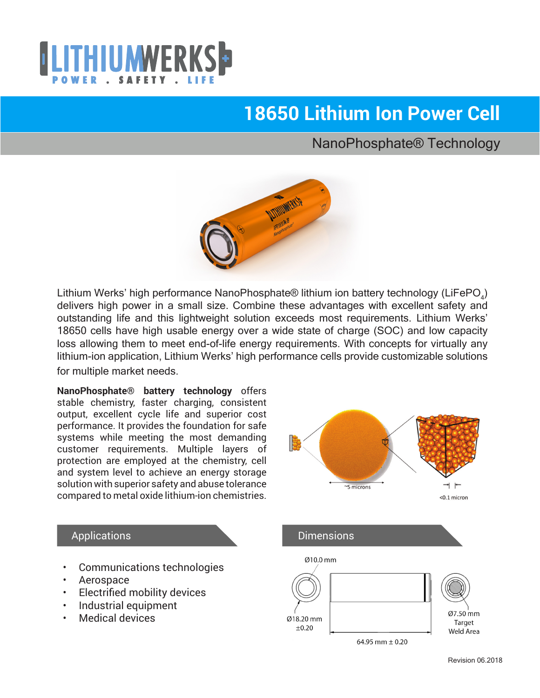

# **18650 Lithium Ion Power Cell**

### NanoPhosphate® Technology



Lithium Werks' high performance NanoPhosphate® lithium ion battery technology (LiFePO<sub>4</sub>) delivers high power in a small size. Combine these advantages with excellent safety and outstanding life and this lightweight solution exceeds most requirements. Lithium Werks' 18650 cells have high usable energy over a wide state of charge (SOC) and low capacity loss allowing them to meet end-of-life energy requirements. With concepts for virtually any lithium-ion application, Lithium Werks' high performance cells provide customizable solutions for multiple market needs.

**NanoPhosphate® battery technology** offers stable chemistry, faster charging, consistent output, excellent cycle life and superior cost performance. It provides the foundation for safe systems while meeting the most demanding customer requirements. Multiple layers of protection are employed at the chemistry, cell and system level to achieve an energy storage solution with superior safety and abuse tolerance compared to metal oxide lithium-ion chemistries.



#### Applications

- Communications technologies
- Aerospace
- **Electrified mobility devices**
- Industrial equipment
- Medical devices

64.95 mm  $\pm$  0.20

Ø18.20 mm

 $\pm 0.20$ 

Ø7.50 mm

Target

**Weld Area**